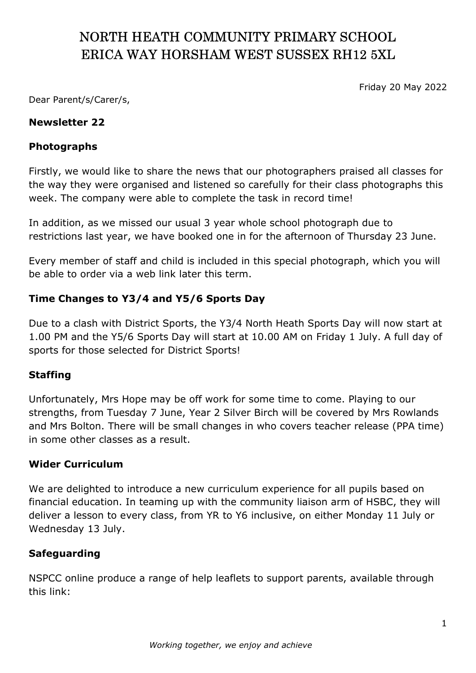# NORTH HEATH COMMUNITY PRIMARY SCHOOL ERICA WAY HORSHAM WEST SUSSEX RH12 5XL

Friday 20 May 2022

Dear Parent/s/Carer/s,

#### Newsletter 22

### Photographs

Firstly, we would like to share the news that our photographers praised all classes for the way they were organised and listened so carefully for their class photographs this week. The company were able to complete the task in record time!

In addition, as we missed our usual 3 year whole school photograph due to restrictions last year, we have booked one in for the afternoon of Thursday 23 June.

Every member of staff and child is included in this special photograph, which you will be able to order via a web link later this term.

# Time Changes to Y3/4 and Y5/6 Sports Day

Due to a clash with District Sports, the Y3/4 North Heath Sports Day will now start at 1.00 PM and the Y5/6 Sports Day will start at 10.00 AM on Friday 1 July. A full day of sports for those selected for District Sports!

# Staffing

Unfortunately, Mrs Hope may be off work for some time to come. Playing to our strengths, from Tuesday 7 June, Year 2 Silver Birch will be covered by Mrs Rowlands and Mrs Bolton. There will be small changes in who covers teacher release (PPA time) in some other classes as a result.

#### Wider Curriculum

We are delighted to introduce a new curriculum experience for all pupils based on financial education. In teaming up with the community liaison arm of HSBC, they will deliver a lesson to every class, from YR to Y6 inclusive, on either Monday 11 July or Wednesday 13 July.

# Safeguarding

NSPCC online produce a range of help leaflets to support parents, available through this link: